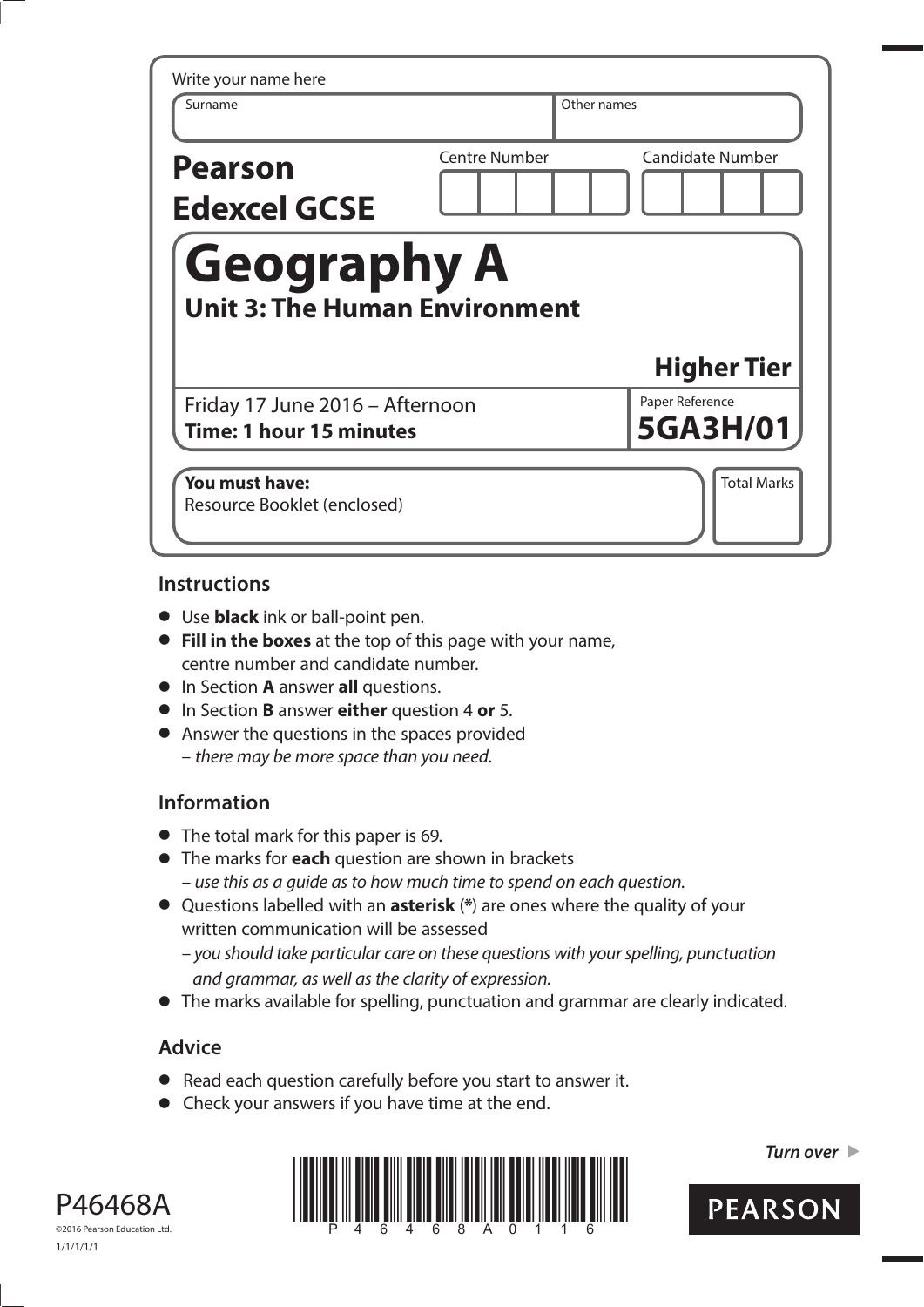| Write your name here<br>Surname                            |               | Other names                 |
|------------------------------------------------------------|---------------|-----------------------------|
| <b>Pearson</b><br><b>Edexcel GCSE</b>                      | Centre Number | <b>Candidate Number</b>     |
| <b>Geography A</b>                                         |               |                             |
| <b>Unit 3: The Human Environment</b>                       |               |                             |
|                                                            |               | <b>Higher Tier</b>          |
| Friday 17 June 2016 - Afternoon<br>Time: 1 hour 15 minutes |               | Paper Reference<br>5GA3H/01 |

## **Instructions**

- **•** Use **black** ink or ball-point pen.
- **• Fill in the boxes** at the top of this page with your name, centre number and candidate number.
- **•** In Section **A** answer **all** questions.
- **•** In Section **B** answer **either** question 4 **or** 5.
- **•** Answer the questions in the spaces provided – there may be more space than you need.

## **Information**

- **•** The total mark for this paper is 69.
- **•** The marks for **each** question are shown in brackets
	- use this as a guide as to how much time to spend on each question.
- **•** Questions labelled with an **asterisk** (**\***) are ones where the quality of your written communication will be assessed
	- you should take particular care on these questions with your spelling, punctuation and grammar, as well as the clarity of expression.
- **•** The marks available for spelling, punctuation and grammar are clearly indicated.

## **Advice**

- **•** Read each question carefully before you start to answer it.
- Read each question carefully before you start to<br>• Check your answers if you have time at the end.





**Turn over** 

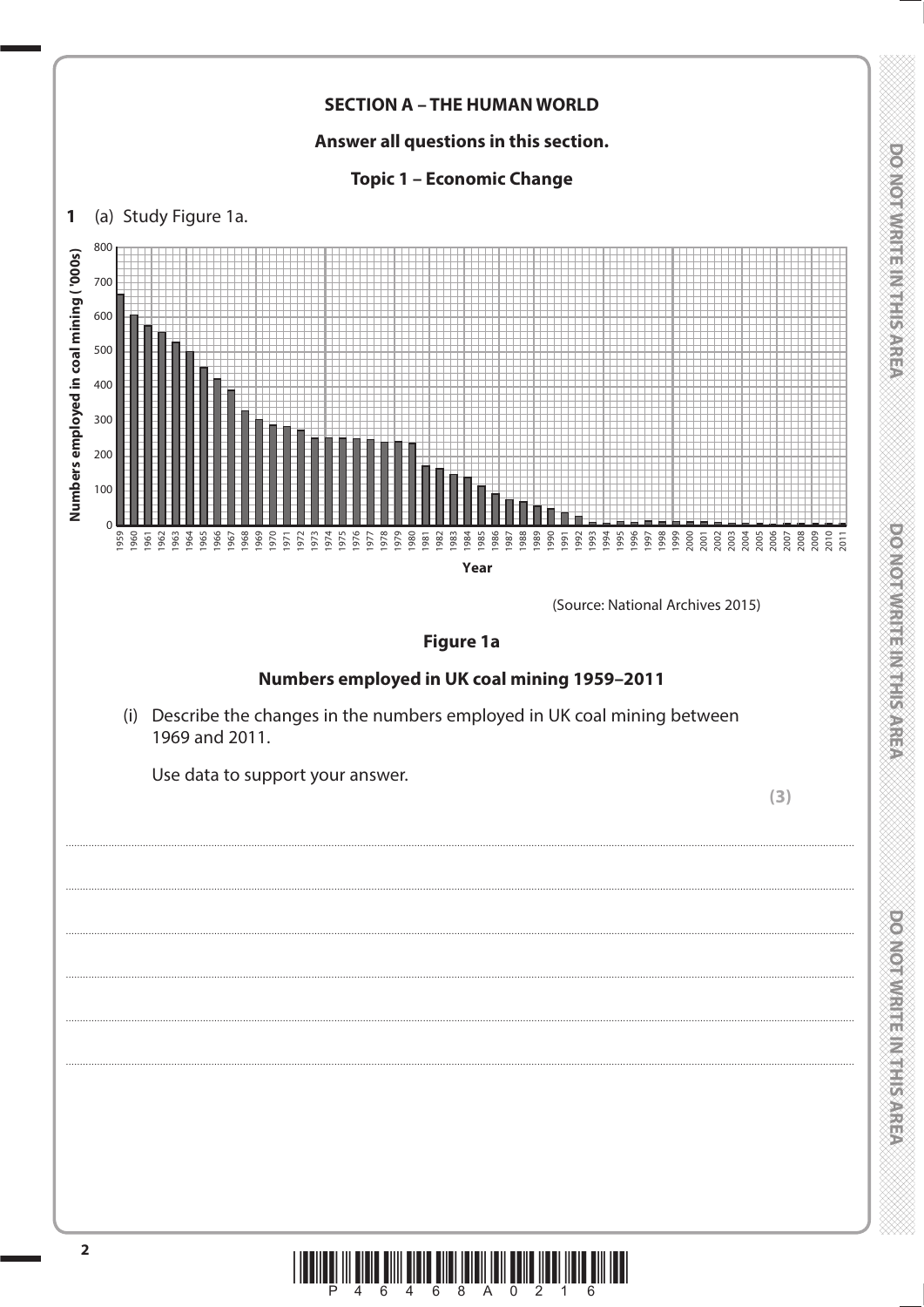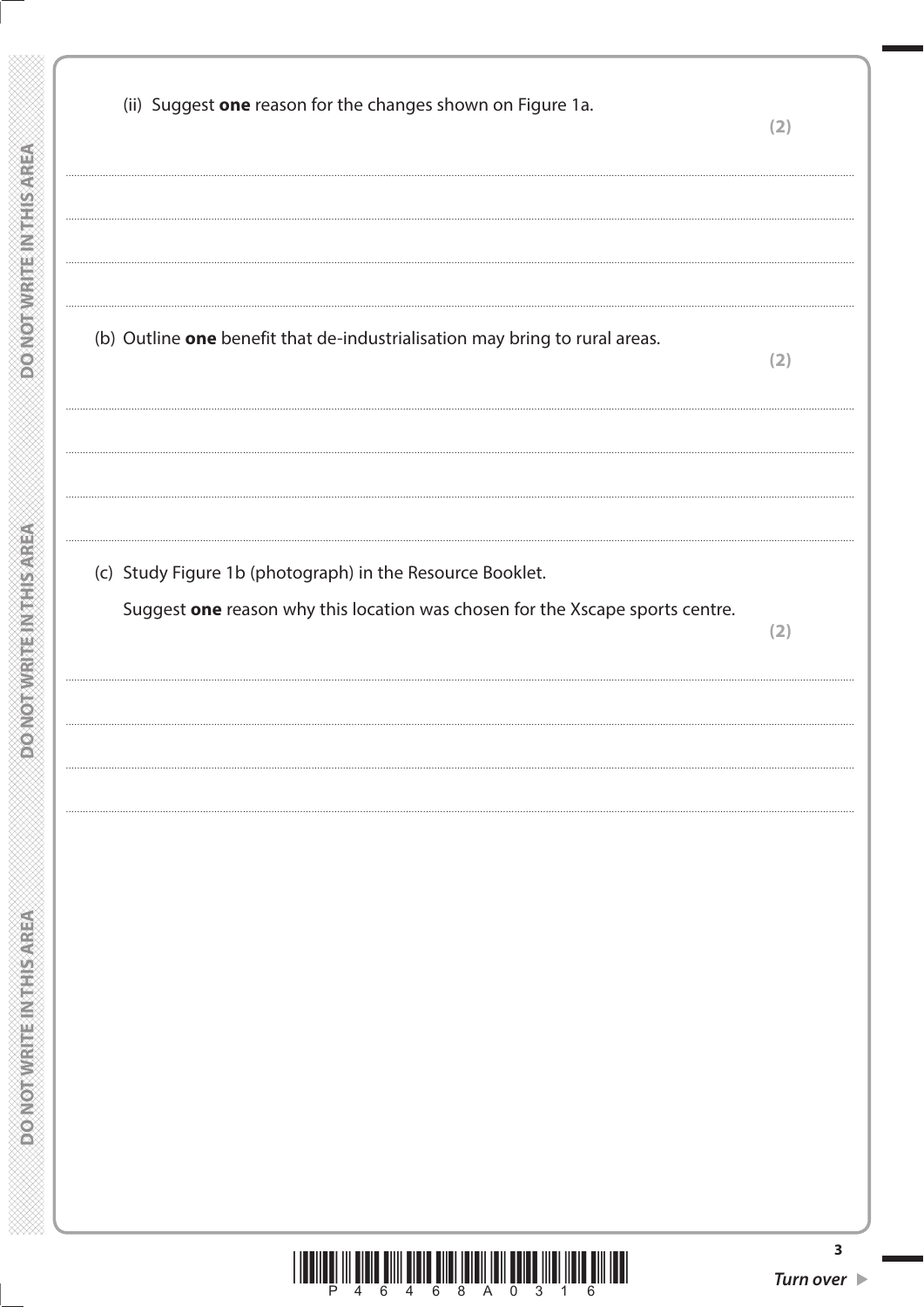| (ii) Suggest one reason for the changes shown on Figure 1a.                   | (2)                             |
|-------------------------------------------------------------------------------|---------------------------------|
|                                                                               |                                 |
|                                                                               |                                 |
| (b) Outline one benefit that de-industrialisation may bring to rural areas.   | (2)                             |
|                                                                               |                                 |
|                                                                               |                                 |
| (c) Study Figure 1b (photograph) in the Resource Booklet.                     |                                 |
| Suggest one reason why this location was chosen for the Xscape sports centre. | (2)                             |
|                                                                               |                                 |
|                                                                               |                                 |
|                                                                               |                                 |
|                                                                               |                                 |
|                                                                               |                                 |
|                                                                               |                                 |
|                                                                               |                                 |
|                                                                               |                                 |
|                                                                               | Turn over $\blacktriangleright$ |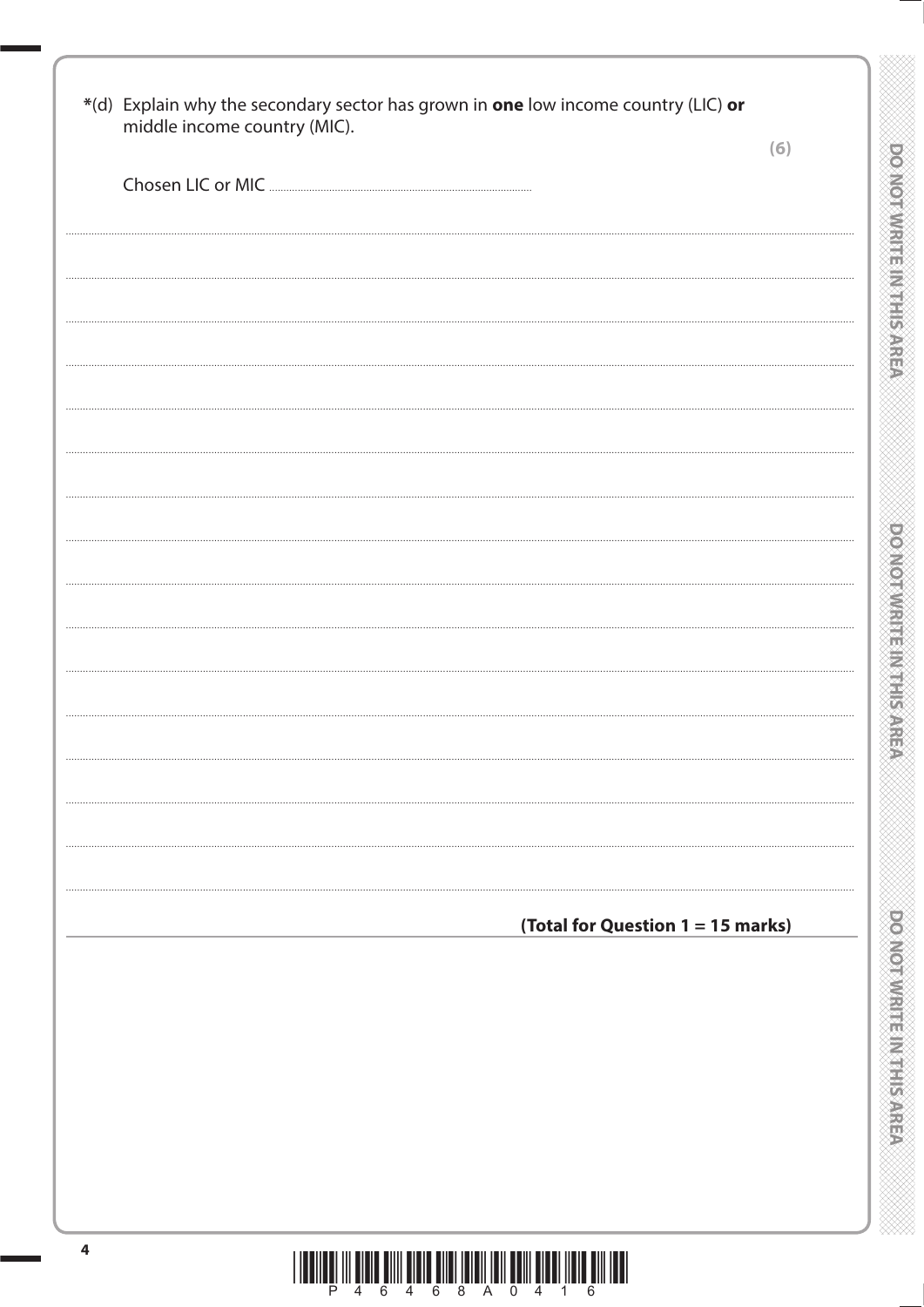| middle income country (MIC). | (6)                               |
|------------------------------|-----------------------------------|
|                              |                                   |
|                              |                                   |
|                              |                                   |
|                              |                                   |
|                              |                                   |
|                              |                                   |
|                              |                                   |
|                              |                                   |
|                              |                                   |
|                              |                                   |
|                              |                                   |
|                              |                                   |
|                              |                                   |
|                              |                                   |
|                              |                                   |
|                              |                                   |
|                              |                                   |
|                              |                                   |
|                              |                                   |
|                              |                                   |
|                              |                                   |
|                              | (Total for Question 1 = 15 marks) |
|                              |                                   |
|                              |                                   |
|                              |                                   |
|                              |                                   |
|                              |                                   |
|                              |                                   |
|                              |                                   |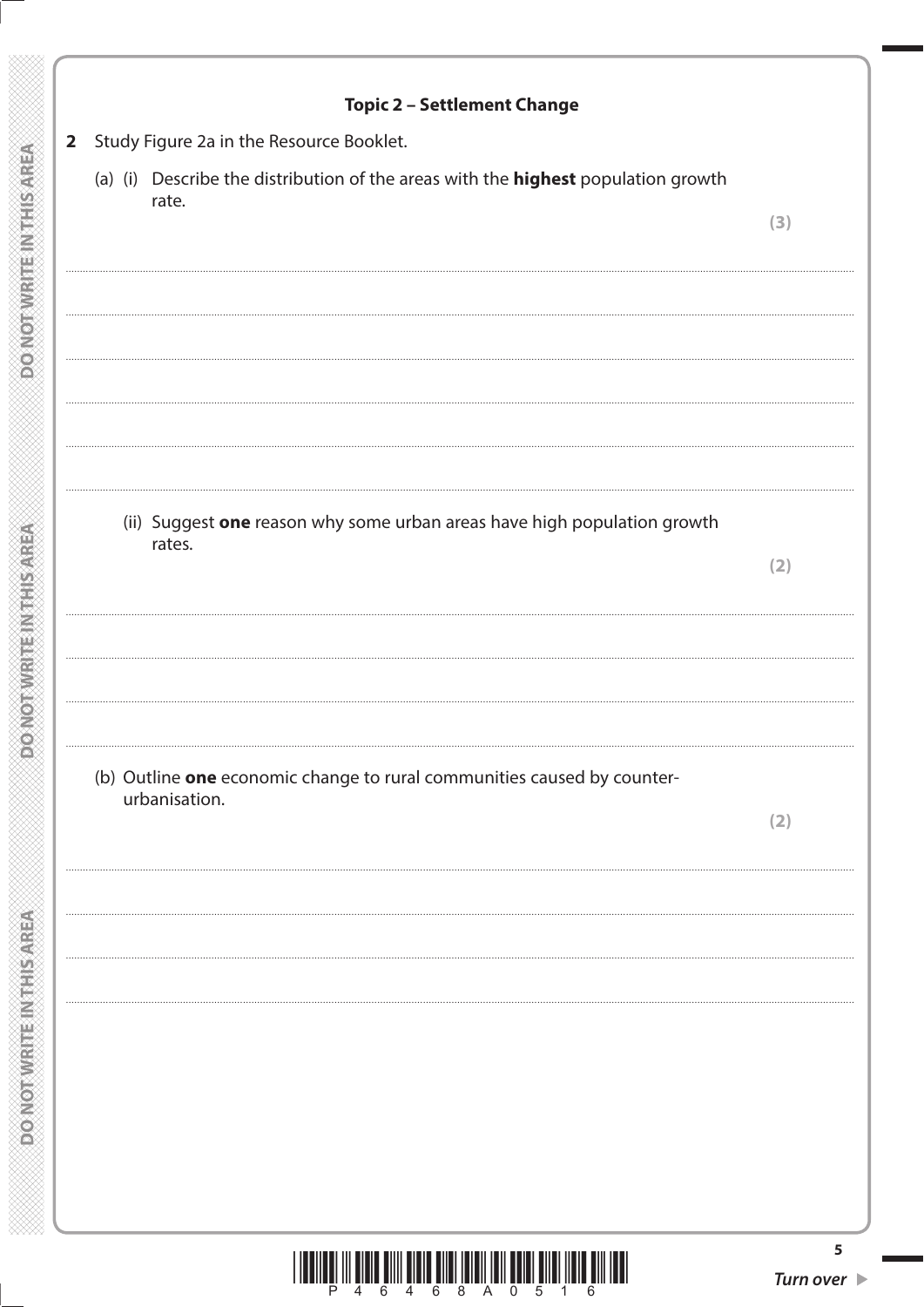**Topic 2 - Settlement Change** 2 Study Figure 2a in the Resource Booklet. (a) (i) Describe the distribution of the areas with the **highest** population growth rate.  $(3)$ (ii) Suggest one reason why some urban areas have high population growth rates.  $(2)$ (b) Outline one economic change to rural communities caused by counterurbanisation.  $(2)$ 5

**DONORWEITERNIES PROFILE** 

**PONOTHER FERRIT DONOT** 

**ASSNOTING IS INVESTIGATION**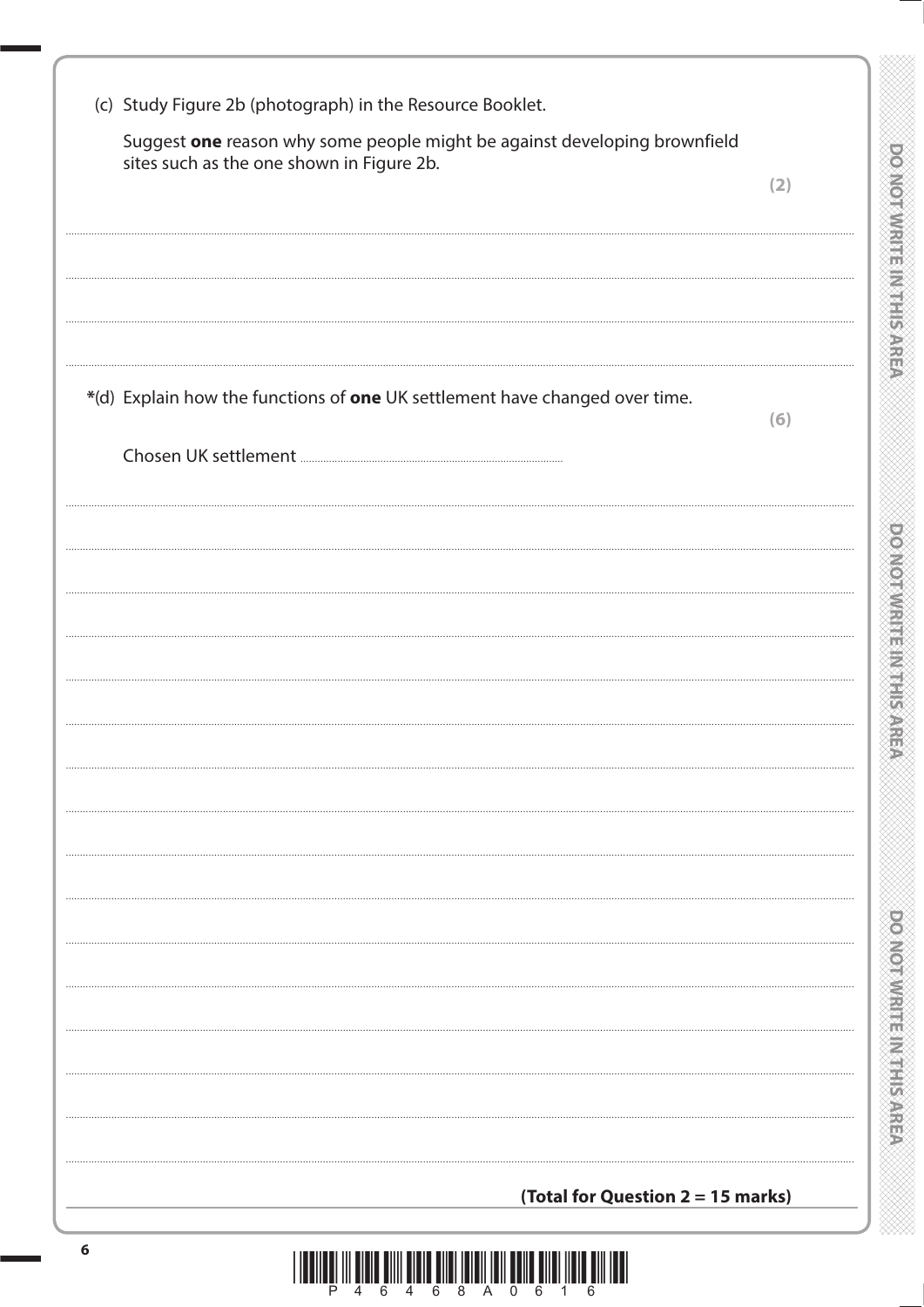| (c) Study Figure 2b (photograph) in the Resource Booklet.<br>Suggest one reason why some people might be against developing brownfield |     |
|----------------------------------------------------------------------------------------------------------------------------------------|-----|
| sites such as the one shown in Figure 2b.                                                                                              | (2) |
|                                                                                                                                        |     |
|                                                                                                                                        |     |
|                                                                                                                                        |     |
| *(d) Explain how the functions of one UK settlement have changed over time.                                                            |     |
|                                                                                                                                        | (6) |
|                                                                                                                                        |     |
|                                                                                                                                        |     |
|                                                                                                                                        |     |
|                                                                                                                                        |     |
|                                                                                                                                        |     |
|                                                                                                                                        |     |
|                                                                                                                                        |     |
|                                                                                                                                        |     |
|                                                                                                                                        |     |
|                                                                                                                                        |     |
|                                                                                                                                        |     |
|                                                                                                                                        |     |
|                                                                                                                                        |     |
|                                                                                                                                        |     |
|                                                                                                                                        |     |
|                                                                                                                                        |     |
|                                                                                                                                        |     |
| (Total for Question 2 = 15 marks)                                                                                                      |     |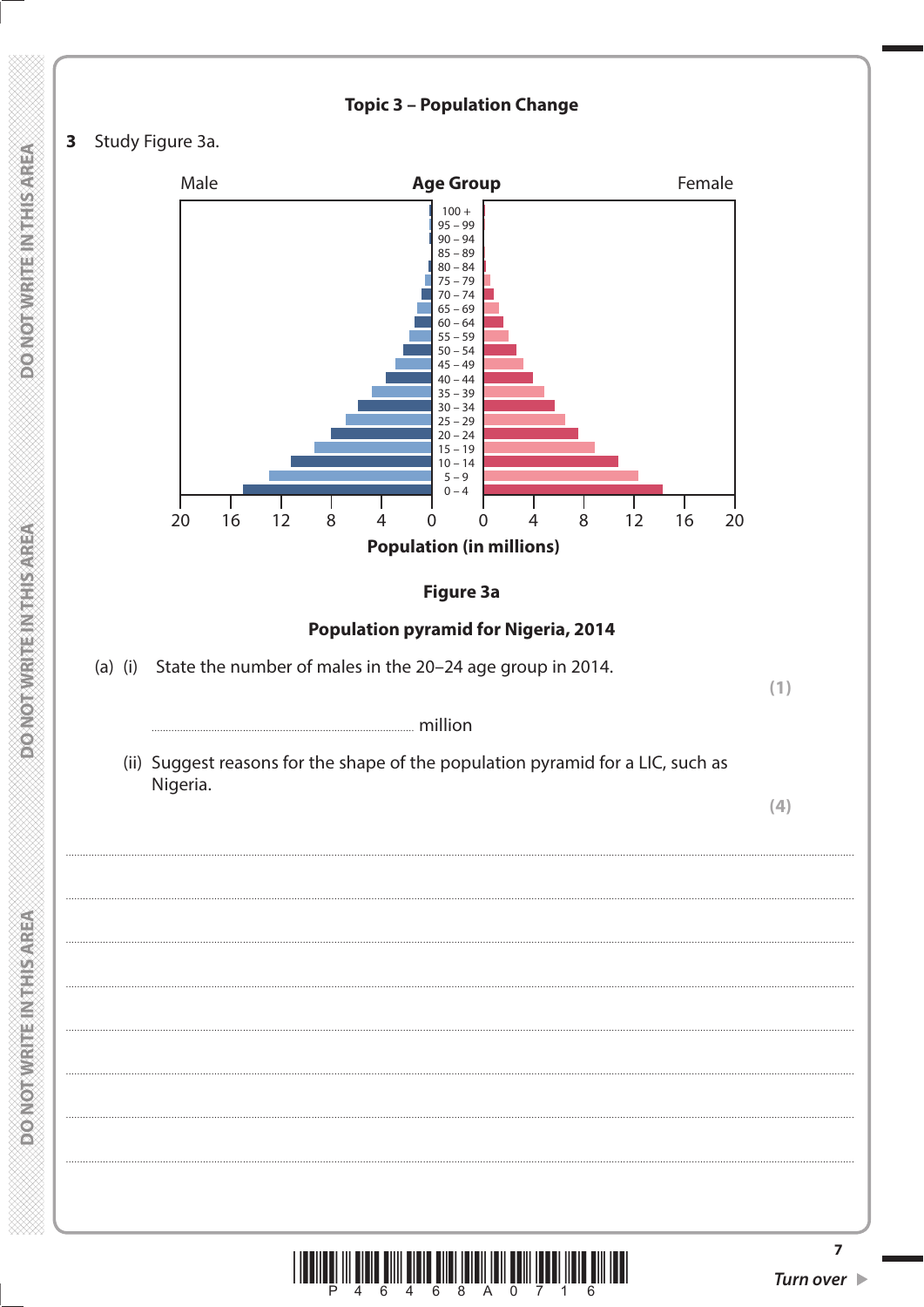



 $\overline{7}$ 

**PONOTHER FERRIT DONOT** 

**ASSNOTING IS INVESTIGATION**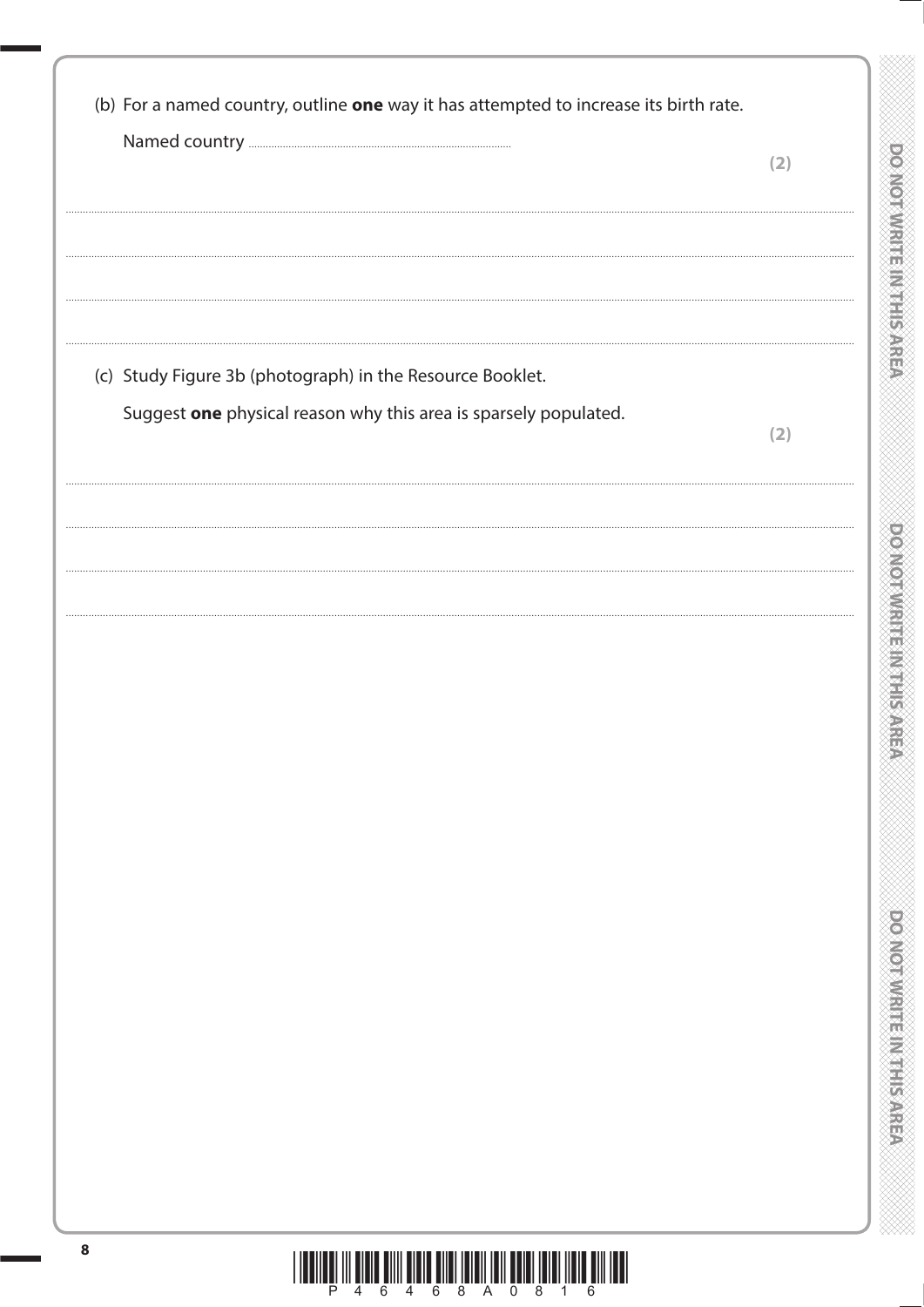|                                                                  | (2) |
|------------------------------------------------------------------|-----|
|                                                                  |     |
|                                                                  |     |
|                                                                  |     |
| (c) Study Figure 3b (photograph) in the Resource Booklet.        |     |
| Suggest one physical reason why this area is sparsely populated. | (2) |
|                                                                  |     |
|                                                                  |     |
|                                                                  |     |
|                                                                  |     |
|                                                                  |     |
|                                                                  |     |
|                                                                  |     |
|                                                                  |     |
|                                                                  |     |
|                                                                  |     |
|                                                                  |     |
|                                                                  |     |
|                                                                  |     |
|                                                                  |     |
|                                                                  |     |
|                                                                  |     |
|                                                                  |     |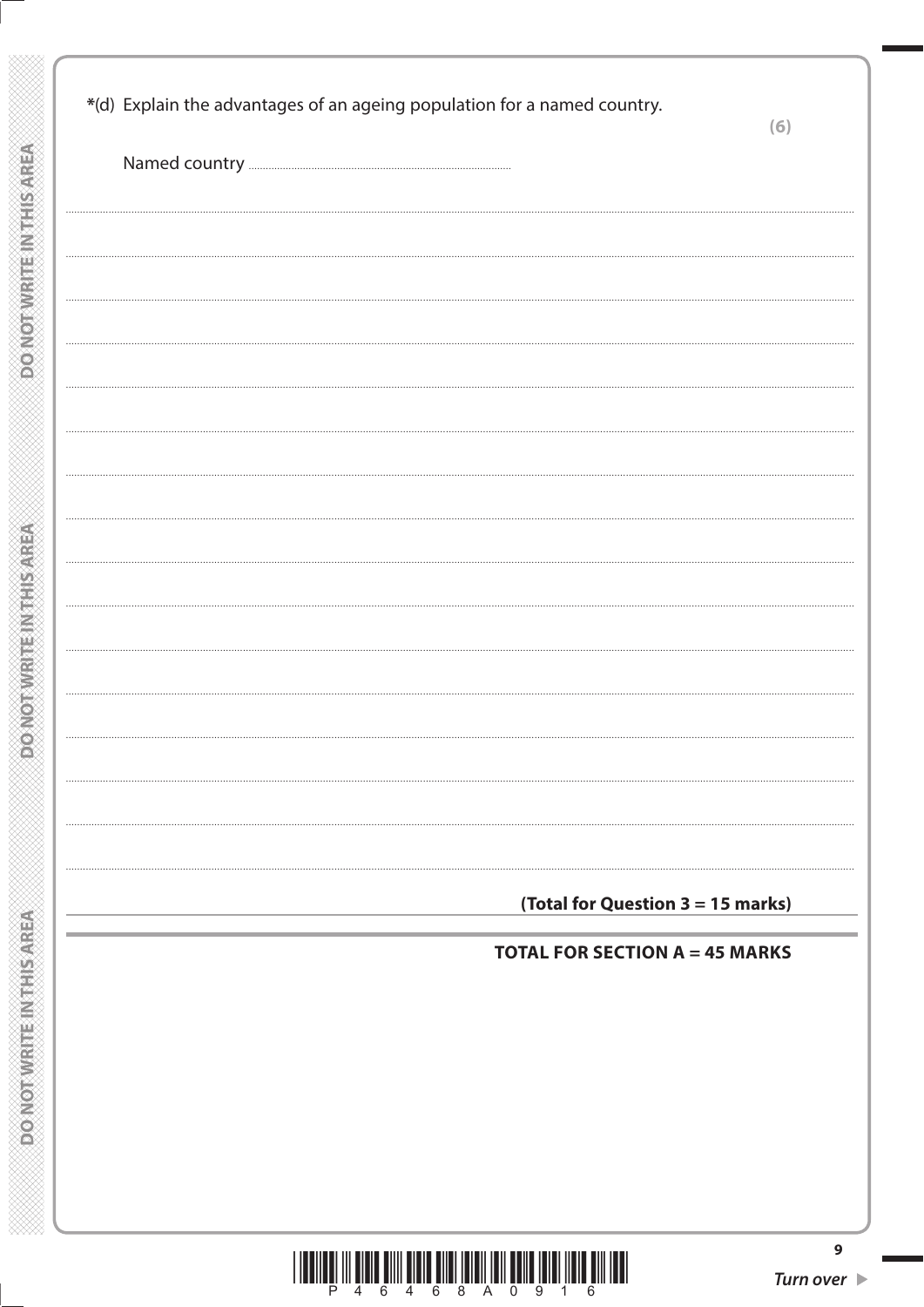| (Total for Question 3 = 15 marks)     |
|---------------------------------------|
| <b>TOTAL FOR SECTION A = 45 MARKS</b> |
|                                       |
|                                       |
|                                       |
|                                       |
|                                       |
|                                       |
|                                       |
|                                       |
|                                       |

e politica de política de política de política de política de política de política de política de política de<br>Desegne de política de política de política de política de política de política de política de política de pol

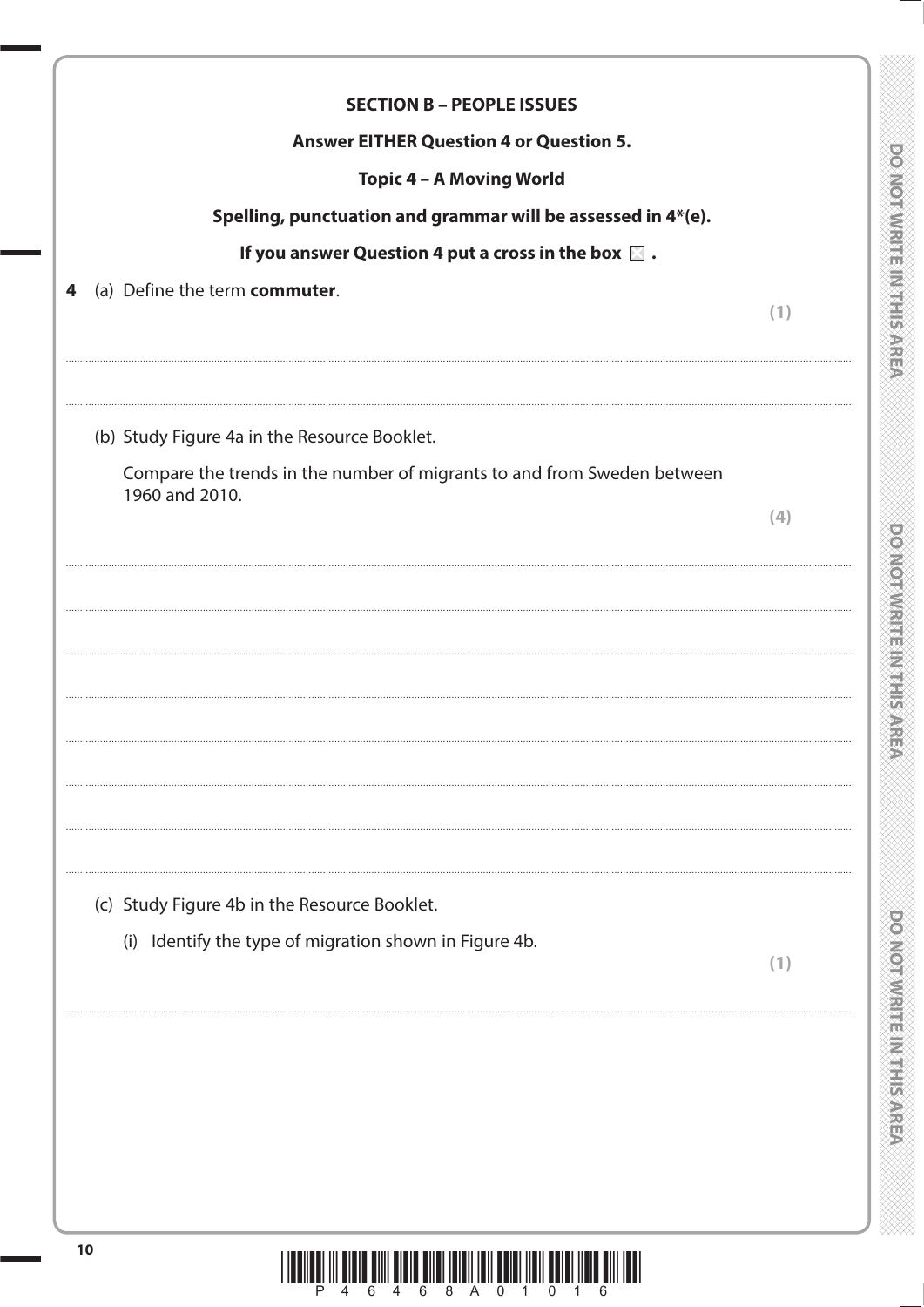| <b>SECTION B - PEOPLE ISSUES</b>                                                                       |     |                                                               |
|--------------------------------------------------------------------------------------------------------|-----|---------------------------------------------------------------|
| <b>Answer EITHER Question 4 or Question 5.</b>                                                         |     |                                                               |
| Topic 4 - A Moving World<br>Spelling, punctuation and grammar will be assessed in 4*(e).               |     |                                                               |
|                                                                                                        |     | If you answer Question 4 put a cross in the box $\boxtimes$ . |
| (a) Define the term commuter.                                                                          | (1) |                                                               |
| (b) Study Figure 4a in the Resource Booklet.                                                           |     |                                                               |
| Compare the trends in the number of migrants to and from Sweden between                                |     |                                                               |
| 1960 and 2010.                                                                                         | (4) |                                                               |
|                                                                                                        |     |                                                               |
|                                                                                                        |     |                                                               |
|                                                                                                        |     |                                                               |
|                                                                                                        |     |                                                               |
| (c) Study Figure 4b in the Resource Booklet.<br>(i) Identify the type of migration shown in Figure 4b. |     |                                                               |
|                                                                                                        | (1) |                                                               |
|                                                                                                        |     |                                                               |
|                                                                                                        |     |                                                               |
|                                                                                                        |     |                                                               |

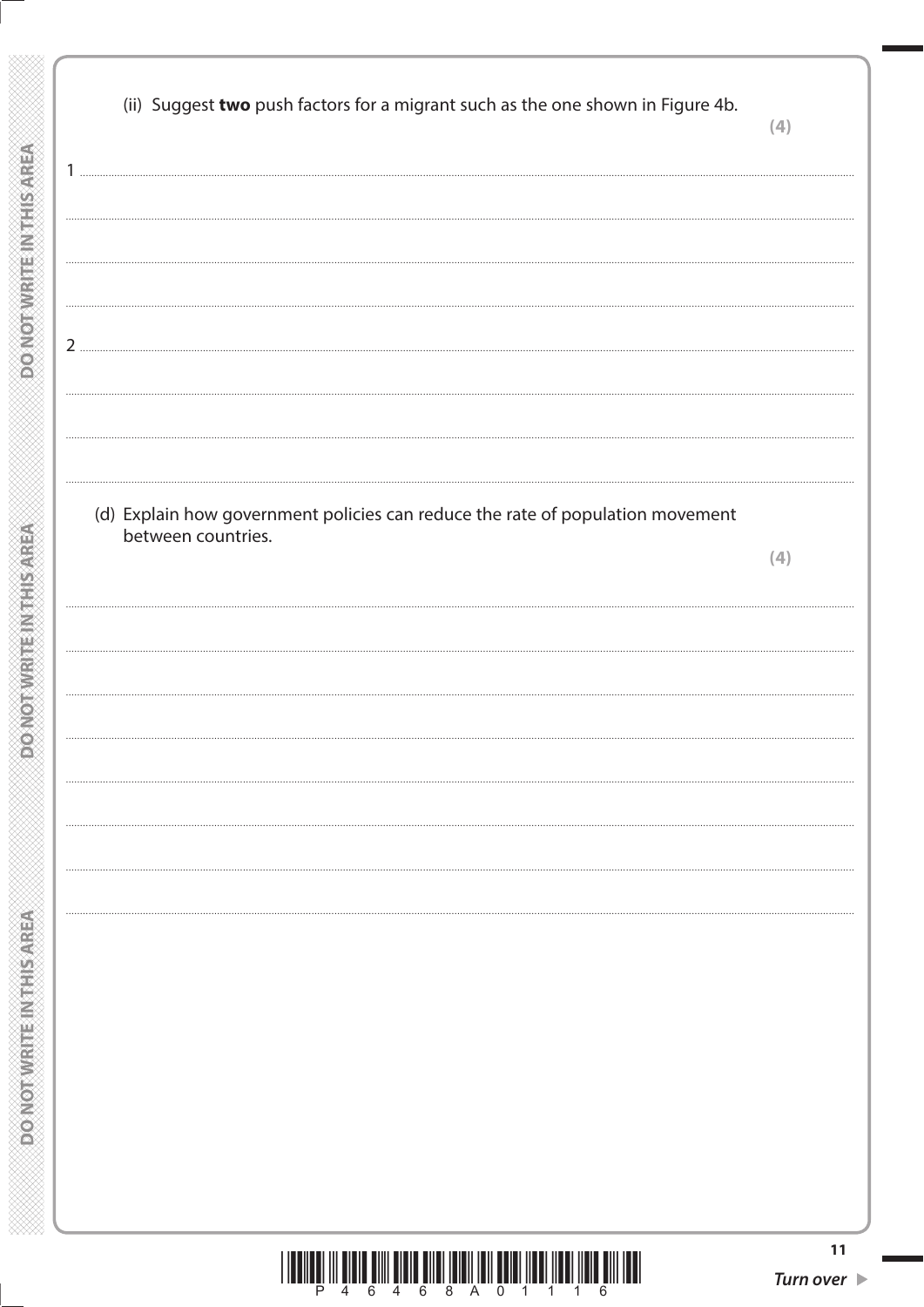(ii) Suggest two push factors for a migrant such as the one shown in Figure 4b.  $(4)$ **DONOTWRITEINTHIS AREA**  $\mathbf{1}$  $2<sub>1</sub>$ (d) Explain how government policies can reduce the rate of population movement **DONOT WRITEIN THIS AREA** between countries.  $(4)$ **DONOT WRITEINTHIS AREA**  $11$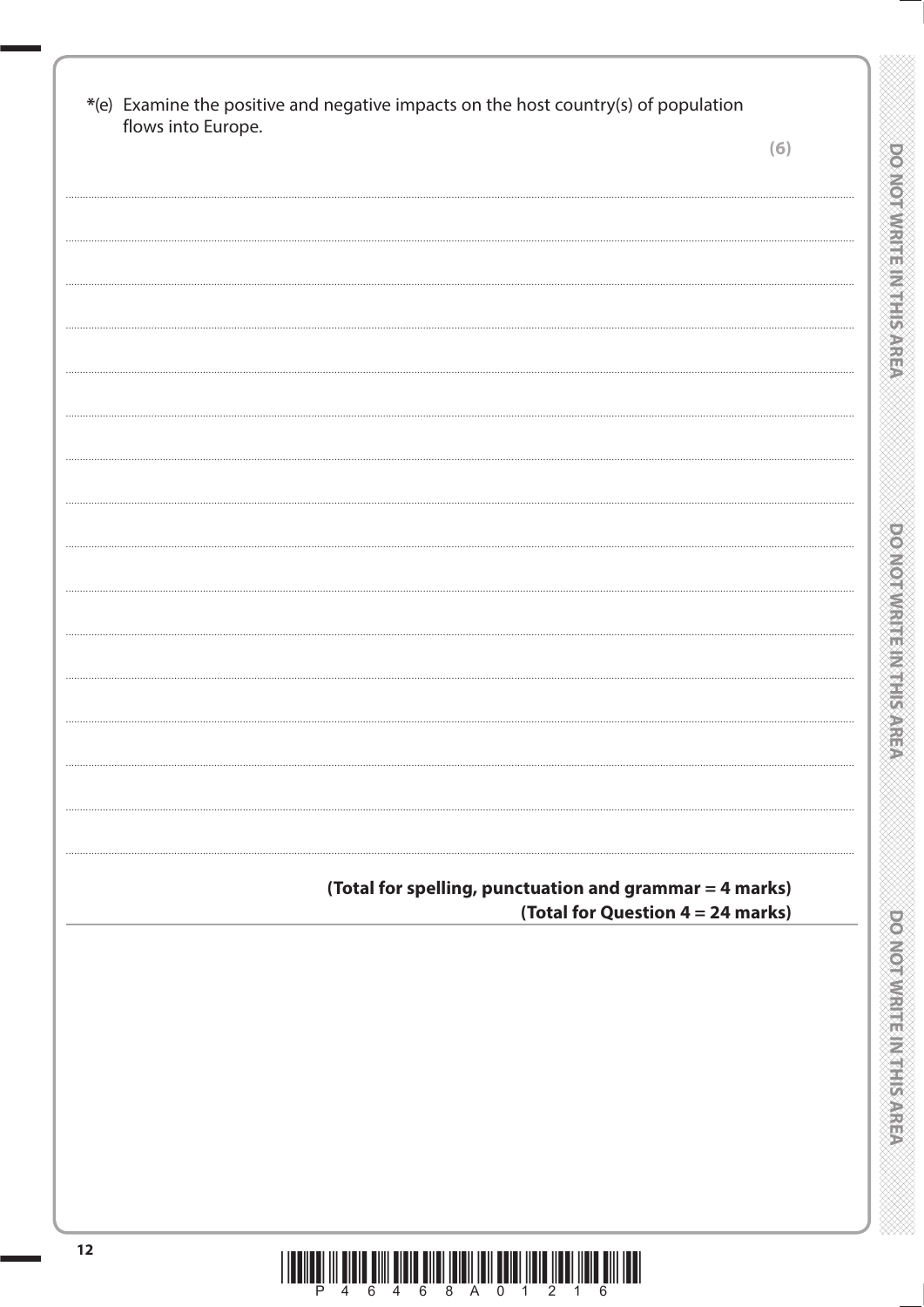| flows into Europe. |                                                         |                                   |
|--------------------|---------------------------------------------------------|-----------------------------------|
|                    |                                                         | (6)                               |
|                    |                                                         |                                   |
|                    |                                                         |                                   |
|                    |                                                         |                                   |
|                    |                                                         |                                   |
|                    |                                                         |                                   |
|                    |                                                         |                                   |
|                    |                                                         |                                   |
|                    |                                                         |                                   |
|                    |                                                         |                                   |
|                    |                                                         |                                   |
|                    |                                                         |                                   |
|                    |                                                         |                                   |
|                    |                                                         |                                   |
|                    |                                                         |                                   |
|                    |                                                         |                                   |
|                    |                                                         |                                   |
|                    |                                                         |                                   |
|                    |                                                         |                                   |
|                    |                                                         |                                   |
|                    |                                                         |                                   |
|                    |                                                         |                                   |
|                    |                                                         |                                   |
|                    |                                                         |                                   |
|                    |                                                         |                                   |
|                    | (Total for spelling, punctuation and grammar = 4 marks) |                                   |
|                    |                                                         | (Total for Question 4 = 24 marks) |
|                    |                                                         |                                   |
|                    |                                                         |                                   |
|                    |                                                         |                                   |
|                    |                                                         |                                   |
|                    |                                                         |                                   |
|                    |                                                         |                                   |
|                    |                                                         |                                   |
|                    |                                                         |                                   |
|                    |                                                         |                                   |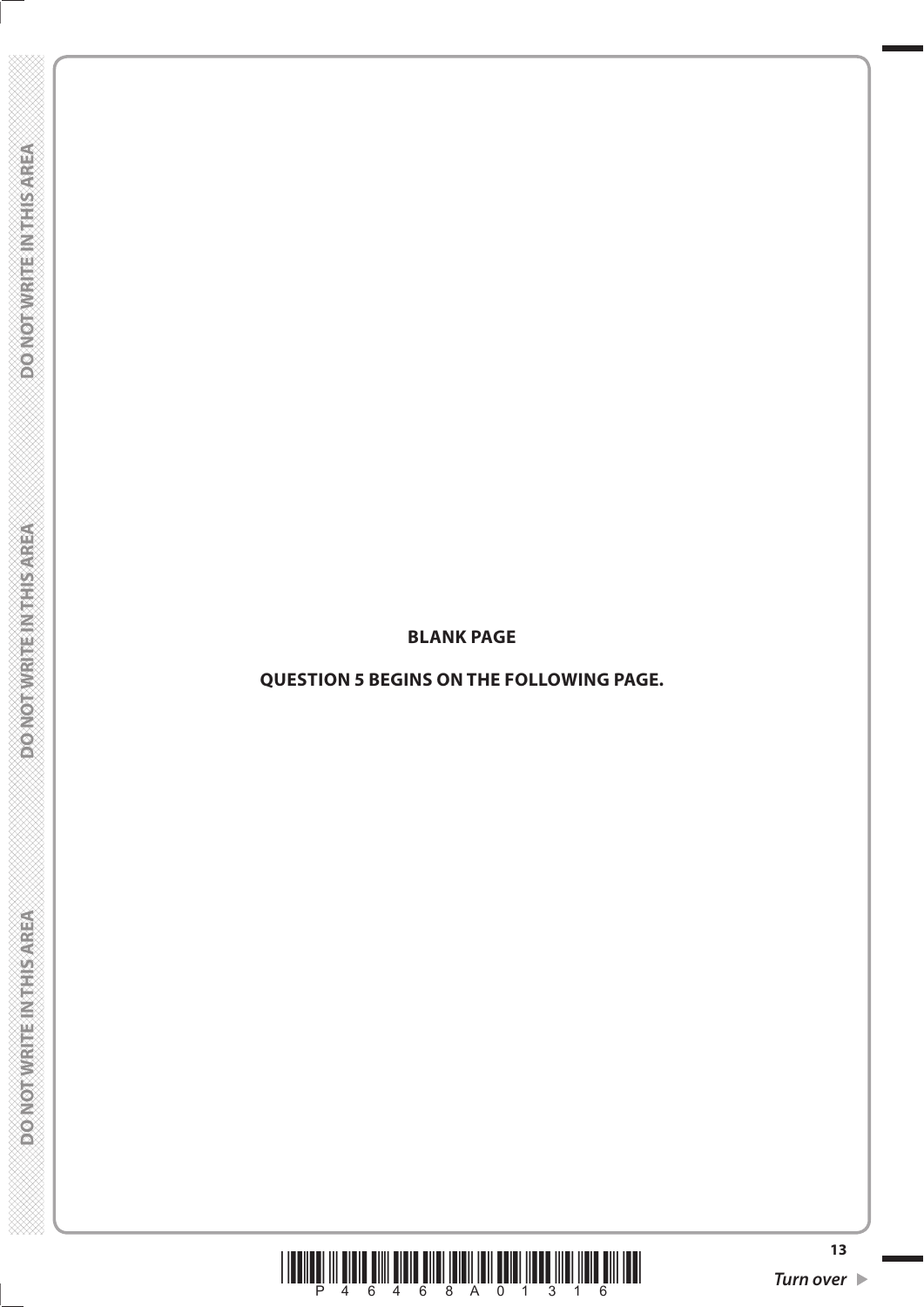**BLANK PAGE**

**QUESTION 5 BEGINS ON THE FOLLOWING PAGE.**

\*P46468A01316\* **Turn over**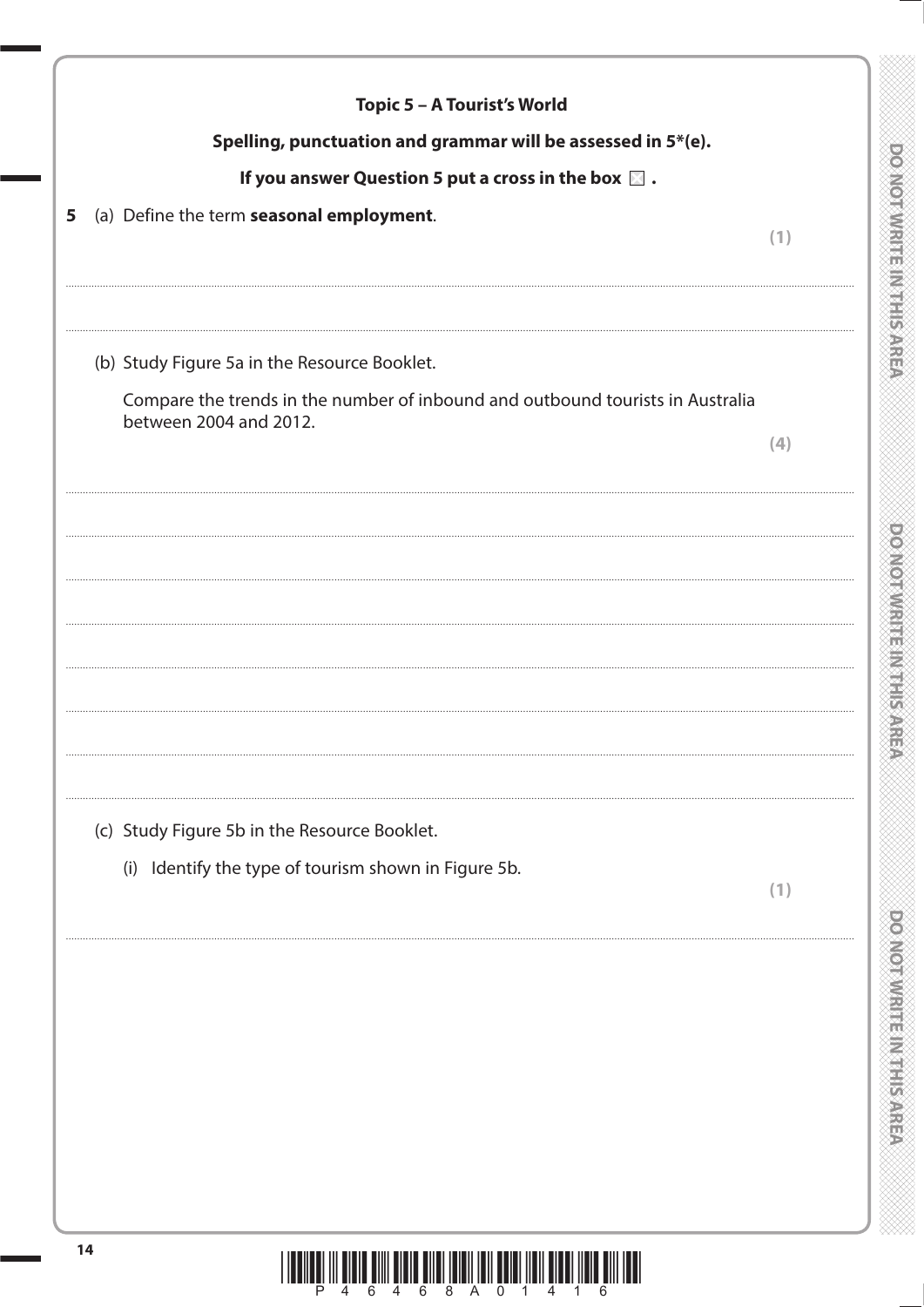| Topic 5 - A Tourist's World                                                                                                   |     |
|-------------------------------------------------------------------------------------------------------------------------------|-----|
| Spelling, punctuation and grammar will be assessed in 5*(e).<br>If you answer Question 5 put a cross in the box $\boxtimes$ . |     |
|                                                                                                                               |     |
| (b) Study Figure 5a in the Resource Booklet.                                                                                  |     |
| Compare the trends in the number of inbound and outbound tourists in Australia<br>between 2004 and 2012.                      |     |
|                                                                                                                               | (4) |
|                                                                                                                               |     |
|                                                                                                                               |     |
|                                                                                                                               |     |
|                                                                                                                               |     |
|                                                                                                                               |     |
|                                                                                                                               |     |
| (c) Study Figure 5b in the Resource Booklet.                                                                                  |     |
| (i) Identify the type of tourism shown in Figure 5b.                                                                          | (1) |
|                                                                                                                               |     |
|                                                                                                                               |     |
|                                                                                                                               |     |
|                                                                                                                               |     |
|                                                                                                                               |     |
|                                                                                                                               |     |
|                                                                                                                               |     |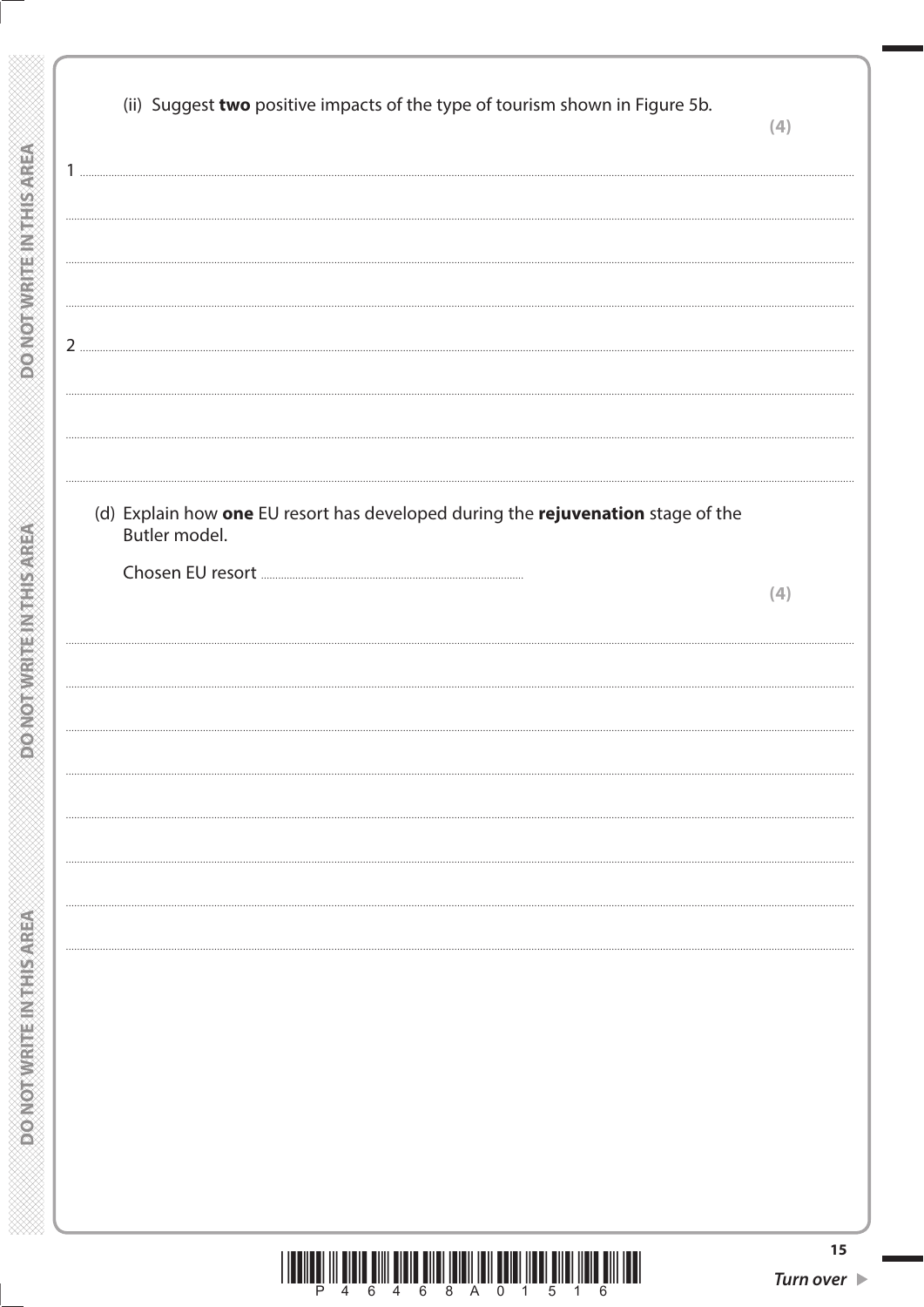(ii) Suggest two positive impacts of the type of tourism shown in Figure 5b.  $(4)$ **DONOTAWE TE INSERVATEA**  $\mathbf{1}$ .  $2$ . (d) Explain how one EU resort has developed during the rejuvenation stage of the Butler model.  $(4)$ **DONOTWRITEINTHIS AREA** 

<u>||TINIT DIN TINIT DINI TINIT BININ BININ ANI BININ ANI BININ ANI BINI</u>

Ш

 $15$ Turn over  $\blacktriangleright$